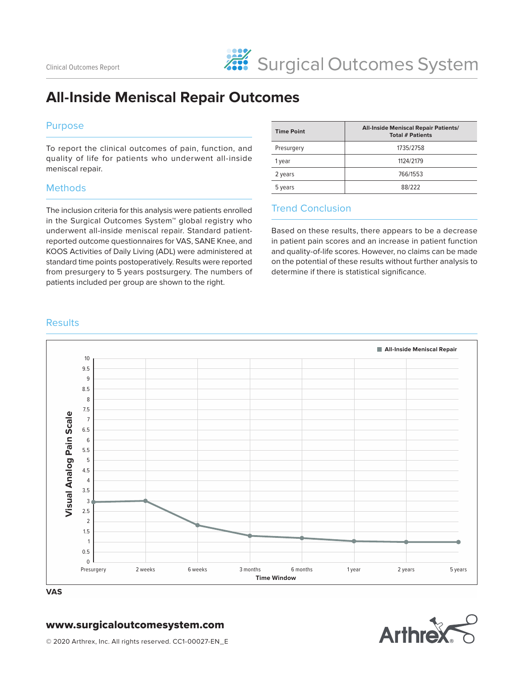# **All-Inside Meniscal Repair Outcomes**

#### Purpose

To report the clinical outcomes of pain, function, and quality of life for patients who underwent all-inside meniscal repair.

#### **Methods**

The inclusion criteria for this analysis were patients enrolled in the Surgical Outcomes System™ global registry who underwent all-inside meniscal repair. Standard patientreported outcome questionnaires for VAS, SANE Knee, and KOOS Activities of Daily Living (ADL) were administered at standard time points postoperatively. Results were reported from presurgery to 5 years postsurgery. The numbers of patients included per group are shown to the right.

| <b>Time Point</b> | <b>All-Inside Meniscal Repair Patients/</b><br><b>Total # Patients</b> |
|-------------------|------------------------------------------------------------------------|
| Presurgery        | 1735/2758                                                              |
| 1 year            | 1124/2179                                                              |
| 2 years           | 766/1553                                                               |
| 5 years           | 88/222                                                                 |

#### Trend Conclusion

Based on these results, there appears to be a decrease in patient pain scores and an increase in patient function and quality-of-life scores. However, no claims can be made on the potential of these results without further analysis to determine if there is statistical significance.

#### **Results**



**VAS**

### www.surgicaloutcomesystem.com

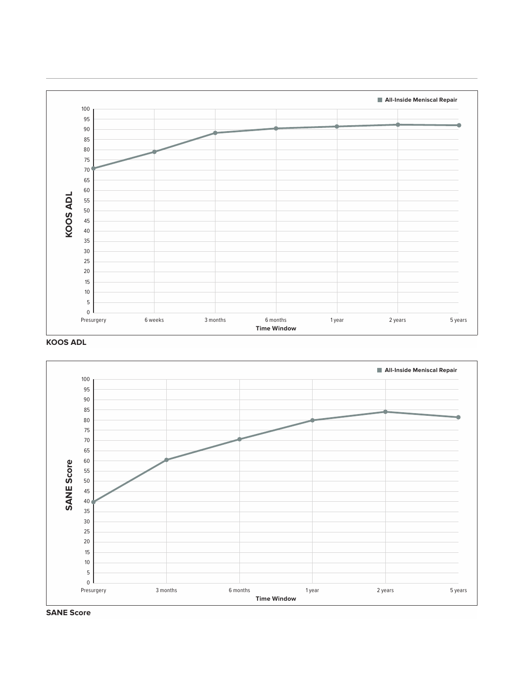

**KOOS ADL**



**SANE Score**